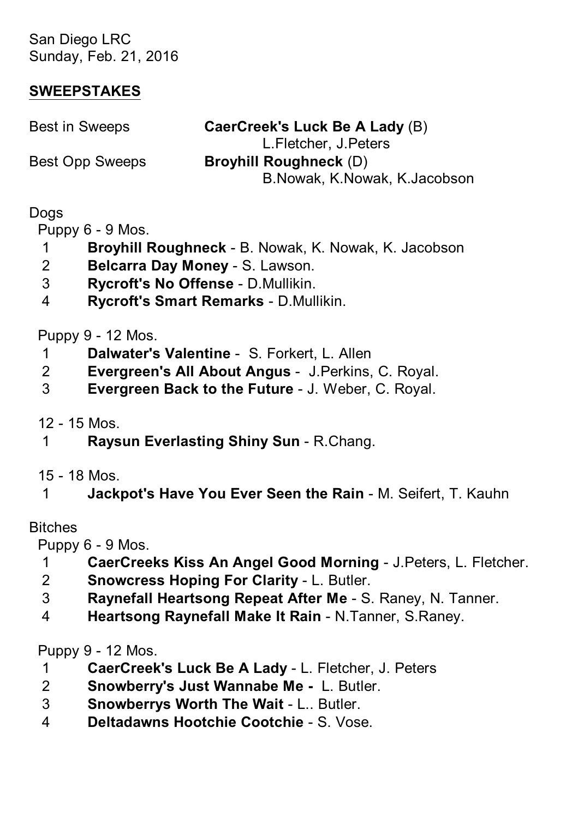San Diego LRC Sunday, Feb. 21, 2016

### **SWEEPSTAKES**

| Best in Sweeps  | CaerCreek's Luck Be A Lady (B) |
|-----------------|--------------------------------|
|                 | L.Fletcher, J.Peters           |
| Best Opp Sweeps | <b>Broyhill Roughneck (D)</b>  |
|                 | B.Nowak, K.Nowak, K.Jacobson   |
|                 |                                |

## **Dogs**

Puppy 6 - 9 Mos.

- 1 **Broyhill Roughneck** B. Nowak, K. Nowak, K. Jacobson
- 2 **Belcarra Day Money** S. Lawson.
- 3 **Rycroft's No Offense** D.Mullikin.
- 4 **Rycroft's Smart Remarks** D.Mullikin.

## Puppy 9 - 12 Mos.

- 1 **Dalwater's Valentine** S. Forkert, L. Allen
- 2 **Evergreen's All About Angus** J.Perkins, C. Royal.
- 3 **Evergreen Back to the Future** J. Weber, C. Royal.

12 - 15 Mos.

- 1 **Raysun Everlasting Shiny Sun** R.Chang.
- 15 18 Mos.
- 1 **Jackpot's Have You Ever Seen the Rain** M. Seifert, T. Kauhn

### Bitches

Puppy 6 - 9 Mos.

- 1 **CaerCreeks Kiss An Angel Good Morning** J.Peters, L. Fletcher.
- 2 **Snowcress Hoping For Clarity** L. Butler.
- 3 **Raynefall Heartsong Repeat After Me** S. Raney, N. Tanner.
- 4 **Heartsong Raynefall Make It Rain** N.Tanner, S.Raney.

Puppy 9 - 12 Mos.

- 1 **CaerCreek's Luck Be A Lady** L. Fletcher, J. Peters
- 2 **Snowberry's Just Wannabe Me** L. Butler.
- 3 **Snowberrys Worth The Wait** L.. Butler.
- 4 **Deltadawns Hootchie Cootchie** S. Vose.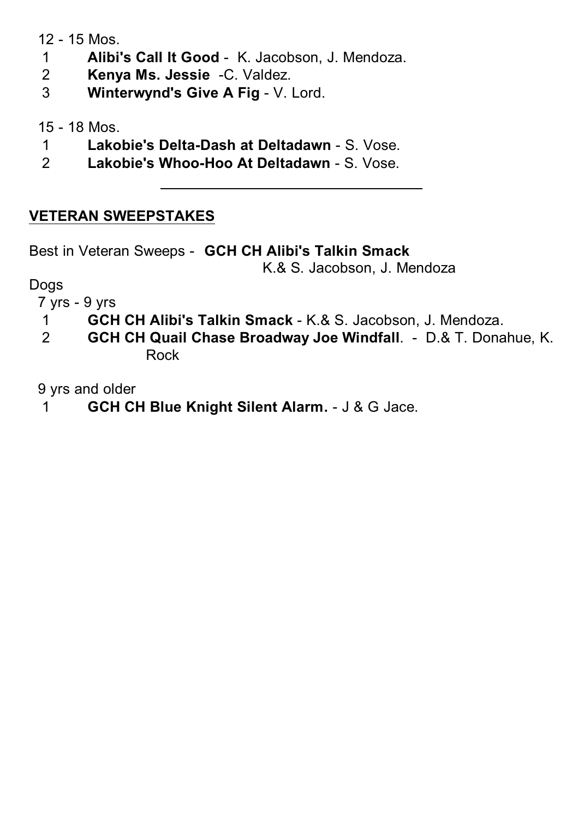12 - 15 Mos.

- 1 **Alibi's Call It Good** K. Jacobson, J. Mendoza.
- 2 **Kenya Ms. Jessie** -C. Valdez.
- 3 **Winterwynd's Give A Fig** V. Lord.

15 - 18 Mos.

- 1 **Lakobie's Delta-Dash at Deltadawn** S. Vose.
- 2 **Lakobie's Whoo-Hoo At Deltadawn** S. Vose.

# **VETERAN SWEEPSTAKES**

Best in Veteran Sweeps - **GCH CH Alibi's Talkin Smack**

K.& S. Jacobson, J. Mendoza

Dogs

7 yrs - 9 yrs

- 1 **GCH CH Alibi's Talkin Smack** K.& S. Jacobson, J. Mendoza.
- 2 **GCH CH Quail Chase Broadway Joe Windfall**. D.& T. Donahue, K. Rock

9 yrs and older

1 **GCH CH Blue Knight Silent Alarm.** - J & G Jace.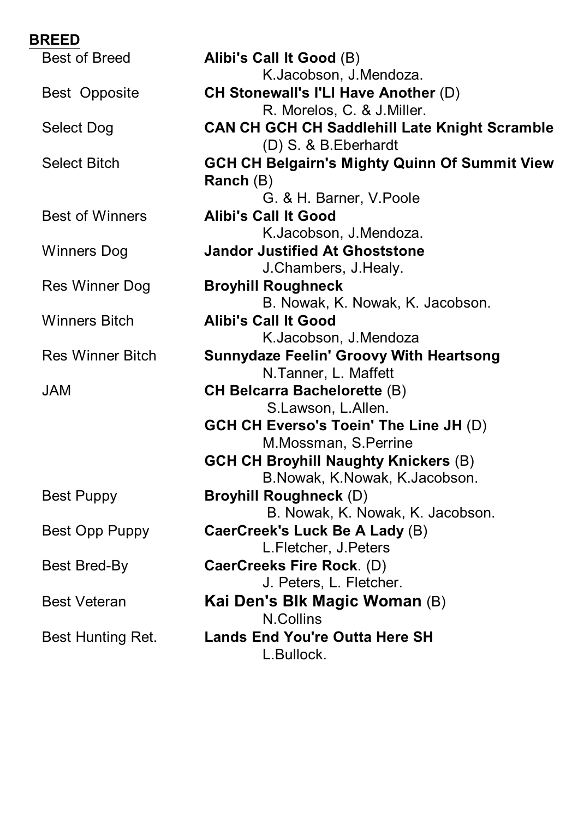| <b>BREED</b>            |                                                      |
|-------------------------|------------------------------------------------------|
| Best of Breed           | Alibi's Call It Good (B)                             |
|                         | K.Jacobson, J.Mendoza.                               |
| Best Opposite           | <b>CH Stonewall's I'LI Have Another (D)</b>          |
|                         | R. Morelos, C. & J. Miller.                          |
| Select Dog              | <b>CAN CH GCH CH Saddlehill Late Knight Scramble</b> |
|                         | (D) S. & B. Eberhardt                                |
| <b>Select Bitch</b>     | <b>GCH CH Belgairn's Mighty Quinn Of Summit View</b> |
|                         | Ranch $(B)$                                          |
|                         | G. & H. Barner, V. Poole                             |
| <b>Best of Winners</b>  | <b>Alibi's Call It Good</b>                          |
|                         | K.Jacobson, J.Mendoza.                               |
| <b>Winners Dog</b>      | <b>Jandor Justified At Ghoststone</b>                |
|                         | J.Chambers, J.Healy.                                 |
| Res Winner Dog          | <b>Broyhill Roughneck</b>                            |
|                         | B. Nowak, K. Nowak, K. Jacobson.                     |
| <b>Winners Bitch</b>    | <b>Alibi's Call It Good</b>                          |
|                         | K.Jacobson, J.Mendoza                                |
| <b>Res Winner Bitch</b> | <b>Sunnydaze Feelin' Groovy With Heartsong</b>       |
|                         | N.Tanner, L. Maffett                                 |
| <b>JAM</b>              | <b>CH Belcarra Bachelorette (B)</b>                  |
|                         | S.Lawson, L.Allen.                                   |
|                         | <b>GCH CH Everso's Toein' The Line JH (D)</b>        |
|                         | M.Mossman, S.Perrine                                 |
|                         | <b>GCH CH Broyhill Naughty Knickers (B)</b>          |
|                         | B.Nowak, K.Nowak, K.Jacobson.                        |
| Best Puppy              | <b>Broyhill Roughneck (D)</b>                        |
|                         | B. Nowak, K. Nowak, K. Jacobson.                     |
| Best Opp Puppy          | CaerCreek's Luck Be A Lady (B)                       |
|                         | L.Fletcher, J.Peters                                 |
| Best Bred-By            | CaerCreeks Fire Rock. (D)                            |
|                         | J. Peters, L. Fletcher.                              |
| <b>Best Veteran</b>     | Kai Den's Blk Magic Woman (B)                        |
|                         | N.Collins                                            |
| Best Hunting Ret.       | <b>Lands End You're Outta Here SH</b>                |
|                         | L.Bullock.                                           |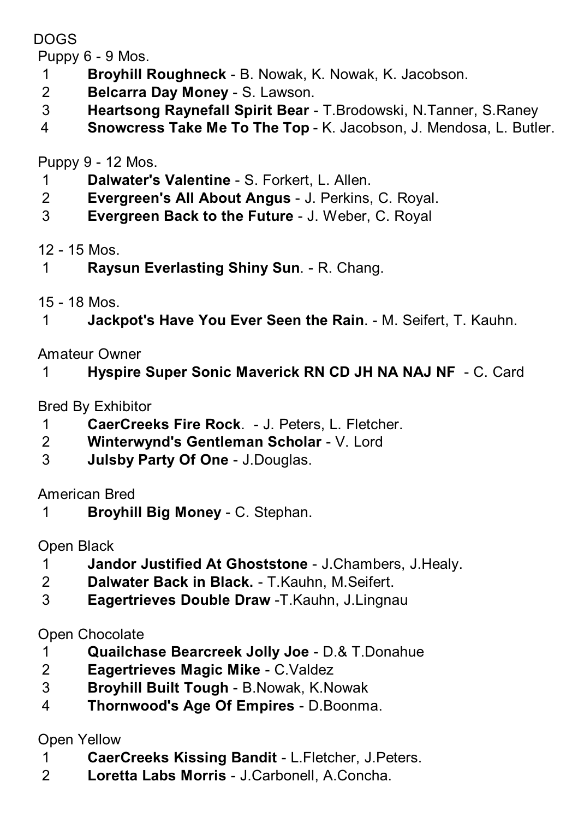DOGS

Puppy 6 - 9 Mos.

- **Broyhill Roughneck** B. Nowak, K. Nowak, K. Jacobson.
- **Belcarra Day Money** S. Lawson.
- **Heartsong Raynefall Spirit Bear** T.Brodowski, N.Tanner, S.Raney
- **Snowcress Take Me To The Top** K. Jacobson, J. Mendosa, L. Butler.

Puppy 9 - 12 Mos.

- **Dalwater's Valentine** S. Forkert, L. Allen.
- **Evergreen's All About Angus** J. Perkins, C. Royal.
- **Evergreen Back to the Future** J. Weber, C. Royal

# 12 - 15 Mos.

- **Raysun Everlasting Shiny Sun**. R. Chang.
- 15 18 Mos.
- **Jackpot's Have You Ever Seen the Rain**. M. Seifert, T. Kauhn.

Amateur Owner

**Hyspire Super Sonic Maverick RN CD JH NA NAJ NF** - C. Card

Bred By Exhibitor

- **CaerCreeks Fire Rock**. J. Peters, L. Fletcher.
- **Winterwynd's Gentleman Scholar** V. Lord
- **Julsby Party Of One** J.Douglas.

American Bred

**Broyhill Big Money** - C. Stephan.

Open Black

- **Jandor Justified At Ghoststone** J.Chambers, J.Healy.
- **Dalwater Back in Black.** T.Kauhn, M.Seifert.
- **Eagertrieves Double Draw** -T.Kauhn, J.Lingnau

Open Chocolate

- **Quailchase Bearcreek Jolly Joe** D.& T.Donahue
- **Eagertrieves Magic Mike** C.Valdez
- **Broyhill Built Tough** B.Nowak, K.Nowak
- **Thornwood's Age Of Empires** D.Boonma.

Open Yellow

- **CaerCreeks Kissing Bandit** L.Fletcher, J.Peters.
- **Loretta Labs Morris** J.Carbonell, A.Concha.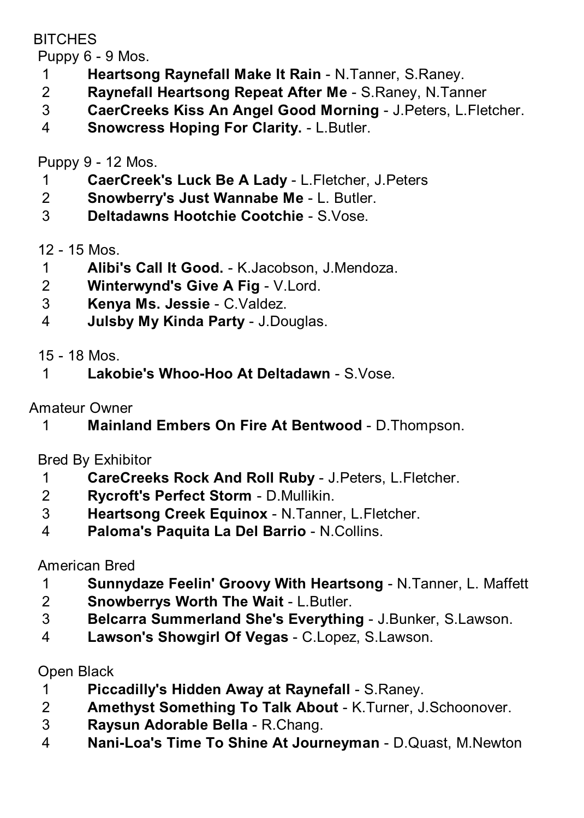## **BITCHES**

Puppy 6 - 9 Mos.

- **Heartsong Raynefall Make It Rain** N.Tanner, S.Raney.
- **Raynefall Heartsong Repeat After Me** S.Raney, N.Tanner
- **CaerCreeks Kiss An Angel Good Morning** J.Peters, L.Fletcher.
- **Snowcress Hoping For Clarity.** L.Butler.

Puppy 9 - 12 Mos.

- **CaerCreek's Luck Be A Lady** L.Fletcher, J.Peters
- **Snowberry's Just Wannabe Me** L. Butler.
- **Deltadawns Hootchie Cootchie** S.Vose.

12 - 15 Mos.

- **Alibi's Call It Good.** K.Jacobson, J.Mendoza.
- **Winterwynd's Give A Fig** V.Lord.
- **Kenya Ms. Jessie** C.Valdez.
- **Julsby My Kinda Party** J.Douglas.

15 - 18 Mos.

**Lakobie's Whoo-Hoo At Deltadawn** - S.Vose.

Amateur Owner

**Mainland Embers On Fire At Bentwood** - D.Thompson.

Bred By Exhibitor

- **CareCreeks Rock And Roll Ruby** J.Peters, L.Fletcher.
- **Rycroft's Perfect Storm** D.Mullikin.
- **Heartsong Creek Equinox** N.Tanner, L.Fletcher.
- **Paloma's Paquita La Del Barrio** N.Collins.

American Bred

- **Sunnydaze Feelin' Groovy With Heartsong** N.Tanner, L. Maffett
- **Snowberrys Worth The Wait** L.Butler.
- **Belcarra Summerland She's Everything** J.Bunker, S.Lawson.
- **Lawson's Showgirl Of Vegas** C.Lopez, S.Lawson.

Open Black

- **Piccadilly's Hidden Away at Raynefall** S.Raney.
- **Amethyst Something To Talk About** K.Turner, J.Schoonover.
- **Raysun Adorable Bella** R.Chang.
- **Nani-Loa's Time To Shine At Journeyman** D.Quast, M.Newton